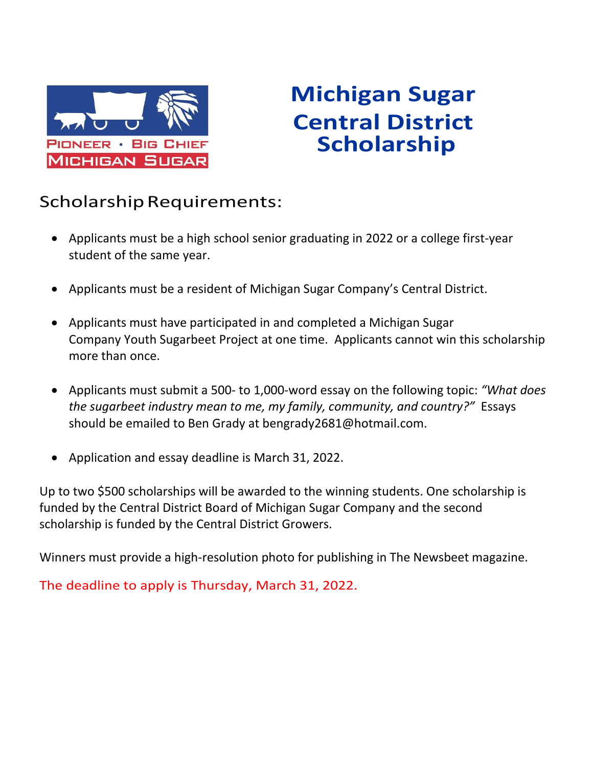

## **Michigan Sugar Central District Scholarship**

## Scholarship Requirements:

- Applicants must be a high school senior graduating in 2022 or a college first-year student of the same year.
- Applicants must be a resident of Michigan Sugar Company's Central District.
- Applicants must have participated in and completed a Michigan Sugar Company Youth Sugarbeet Project at one time. Applicants cannot win this scholarship more than once.
- Applicants must submit a 500- to 1,000-word essay on the following topic: *"What does the sugarbeet industry mean to me, my family, community, and country?"* Essays should be emailed to Ben Grady at bengrady2681@hotmail.com.
- Application and essay deadline is March 31, 2022.

Up to two \$500 scholarships will be awarded to the winning students. One scholarship is funded by the Central District Board of Michigan Sugar Company and the second scholarship is funded by the Central District Growers.

Winners must provide a high-resolution photo for publishing in The Newsbeet magazine.

The deadline to apply is Thursday, March 31, 2022.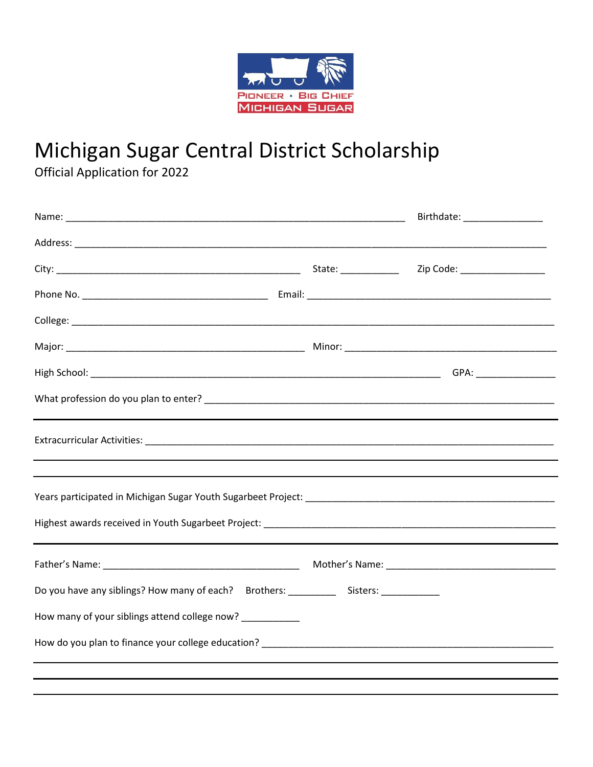

## Michigan Sugar Central District Scholarship

Official Application for 2022

|                                                                                         | Birthdate: __________________ |
|-----------------------------------------------------------------------------------------|-------------------------------|
|                                                                                         |                               |
|                                                                                         |                               |
|                                                                                         |                               |
|                                                                                         |                               |
|                                                                                         |                               |
|                                                                                         |                               |
|                                                                                         |                               |
|                                                                                         |                               |
|                                                                                         |                               |
|                                                                                         |                               |
|                                                                                         |                               |
| Do you have any siblings? How many of each? Brothers: ____________ Sisters: ___________ |                               |
| How many of your siblings attend college now? ___________                               |                               |
|                                                                                         |                               |
|                                                                                         |                               |